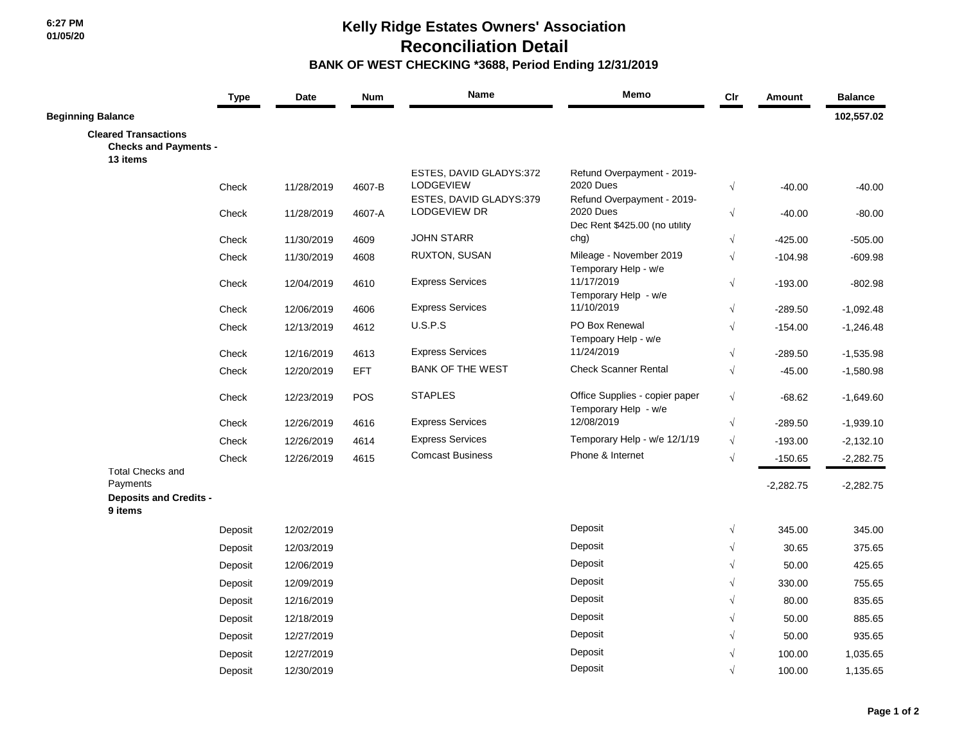## **Kelly Ridge Estates Owners' Association Reconciliation Detail BANK OF WEST CHECKING \*3688, Period Ending 12/31/2019**

|                                                                         | <b>Type</b> | Date       | <b>Num</b> | Name                                           | Memo                                                                            | Cir        | <b>Amount</b> | <b>Balance</b> |
|-------------------------------------------------------------------------|-------------|------------|------------|------------------------------------------------|---------------------------------------------------------------------------------|------------|---------------|----------------|
| <b>Beginning Balance</b>                                                |             |            |            |                                                |                                                                                 |            |               | 102,557.02     |
| <b>Cleared Transactions</b><br><b>Checks and Payments -</b><br>13 items |             |            |            |                                                |                                                                                 |            |               |                |
|                                                                         |             |            |            | ESTES, DAVID GLADYS:372                        | Refund Overpayment - 2019-                                                      |            |               |                |
|                                                                         | Check       | 11/28/2019 | 4607-B     | <b>LODGEVIEW</b>                               | <b>2020 Dues</b>                                                                | $\sqrt{ }$ | $-40.00$      | $-40.00$       |
|                                                                         | Check       | 11/28/2019 | 4607-A     | ESTES, DAVID GLADYS:379<br><b>LODGEVIEW DR</b> | Refund Overpayment - 2019-<br><b>2020 Dues</b><br>Dec Rent \$425.00 (no utility | $\sqrt{}$  | $-40.00$      | $-80.00$       |
|                                                                         | Check       | 11/30/2019 | 4609       | <b>JOHN STARR</b>                              | chg)                                                                            | $\sqrt{ }$ | $-425.00$     | $-505.00$      |
|                                                                         | Check       | 11/30/2019 | 4608       | RUXTON, SUSAN                                  | Mileage - November 2019<br>Temporary Help - w/e                                 | $\sqrt{ }$ | $-104.98$     | $-609.98$      |
|                                                                         | Check       | 12/04/2019 | 4610       | <b>Express Services</b>                        | 11/17/2019<br>Temporary Help - w/e                                              | $\sqrt{}$  | $-193.00$     | $-802.98$      |
|                                                                         | Check       | 12/06/2019 | 4606       | <b>Express Services</b>                        | 11/10/2019                                                                      | $\sqrt{ }$ | $-289.50$     | $-1,092.48$    |
|                                                                         | Check       | 12/13/2019 | 4612       | U.S.P.S                                        | PO Box Renewal                                                                  | $\sqrt{ }$ | $-154.00$     | $-1,246.48$    |
|                                                                         |             |            |            |                                                | Tempoary Help - w/e                                                             |            |               |                |
|                                                                         | Check       | 12/16/2019 | 4613       | <b>Express Services</b>                        | 11/24/2019                                                                      | $\sqrt{ }$ | $-289.50$     | $-1,535.98$    |
|                                                                         | Check       | 12/20/2019 | EFT        | <b>BANK OF THE WEST</b>                        | <b>Check Scanner Rental</b>                                                     | $\sqrt{ }$ | $-45.00$      | $-1,580.98$    |
|                                                                         | Check       | 12/23/2019 | <b>POS</b> | <b>STAPLES</b>                                 | Office Supplies - copier paper                                                  | $\sqrt{ }$ | $-68.62$      | $-1,649.60$    |
|                                                                         | Check       | 12/26/2019 | 4616       | <b>Express Services</b>                        | Temporary Help - w/e<br>12/08/2019                                              | $\sqrt{ }$ | $-289.50$     | $-1,939.10$    |
|                                                                         | Check       | 12/26/2019 | 4614       | <b>Express Services</b>                        | Temporary Help - w/e 12/1/19                                                    | $\sqrt{}$  | $-193.00$     | $-2,132.10$    |
|                                                                         | Check       | 12/26/2019 | 4615       | <b>Comcast Business</b>                        | Phone & Internet                                                                | $\sqrt{ }$ | $-150.65$     | $-2,282.75$    |
| <b>Total Checks and</b>                                                 |             |            |            |                                                |                                                                                 |            |               |                |
| Payments                                                                |             |            |            |                                                |                                                                                 |            | $-2,282.75$   | $-2,282.75$    |
| <b>Deposits and Credits -</b><br>9 items                                |             |            |            |                                                |                                                                                 |            |               |                |
|                                                                         | Deposit     | 12/02/2019 |            |                                                | Deposit                                                                         | $\sqrt{}$  | 345.00        | 345.00         |
|                                                                         | Deposit     | 12/03/2019 |            |                                                | Deposit                                                                         | $\sqrt{ }$ | 30.65         | 375.65         |
|                                                                         | Deposit     | 12/06/2019 |            |                                                | Deposit                                                                         |            | 50.00         | 425.65         |
|                                                                         | Deposit     | 12/09/2019 |            |                                                | Deposit                                                                         |            | 330.00        | 755.65         |
|                                                                         | Deposit     | 12/16/2019 |            |                                                | Deposit                                                                         |            | 80.00         | 835.65         |
|                                                                         | Deposit     | 12/18/2019 |            |                                                | Deposit                                                                         |            | 50.00         | 885.65         |
|                                                                         | Deposit     | 12/27/2019 |            |                                                | Deposit                                                                         |            | 50.00         | 935.65         |
|                                                                         | Deposit     | 12/27/2019 |            |                                                | Deposit                                                                         |            | 100.00        | 1,035.65       |
|                                                                         | Deposit     | 12/30/2019 |            |                                                | Deposit                                                                         |            | 100.00        | 1,135.65       |